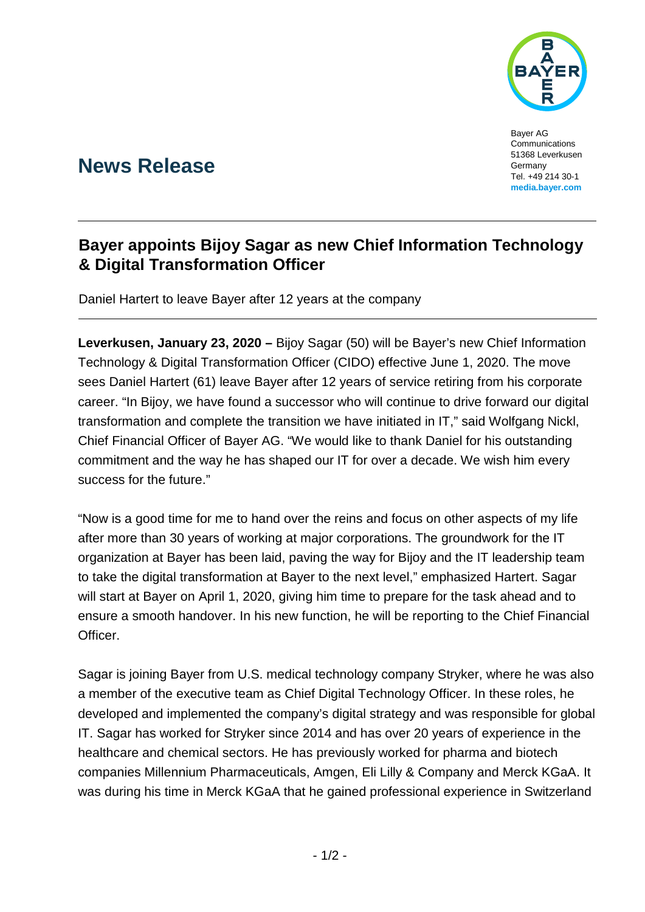

Bayer AG Communications 51368 Leverkusen Germany Tel. +49 214 30-1 **[media.bayer.com](http://media.bayer.de/)**

# **News Release**

## **Bayer appoints Bijoy Sagar as new Chief Information Technology & Digital Transformation Officer**

Daniel Hartert to leave Bayer after 12 years at the company

**Leverkusen, January 23, 2020 –** Bijoy Sagar (50) will be Bayer's new Chief Information Technology & Digital Transformation Officer (CIDO) effective June 1, 2020. The move sees Daniel Hartert (61) leave Bayer after 12 years of service retiring from his corporate career. "In Bijoy, we have found a successor who will continue to drive forward our digital transformation and complete the transition we have initiated in IT," said Wolfgang Nickl, Chief Financial Officer of Bayer AG. "We would like to thank Daniel for his outstanding commitment and the way he has shaped our IT for over a decade. We wish him every success for the future."

"Now is a good time for me to hand over the reins and focus on other aspects of my life after more than 30 years of working at major corporations. The groundwork for the IT organization at Bayer has been laid, paving the way for Bijoy and the IT leadership team to take the digital transformation at Bayer to the next level," emphasized Hartert. Sagar will start at Bayer on April 1, 2020, giving him time to prepare for the task ahead and to ensure a smooth handover. In his new function, he will be reporting to the Chief Financial Officer.

Sagar is joining Bayer from U.S. medical technology company Stryker, where he was also a member of the executive team as Chief Digital Technology Officer. In these roles, he developed and implemented the company's digital strategy and was responsible for global IT. Sagar has worked for Stryker since 2014 and has over 20 years of experience in the healthcare and chemical sectors. He has previously worked for pharma and biotech companies Millennium Pharmaceuticals, Amgen, Eli Lilly & Company and Merck KGaA. It was during his time in Merck KGaA that he gained professional experience in Switzerland